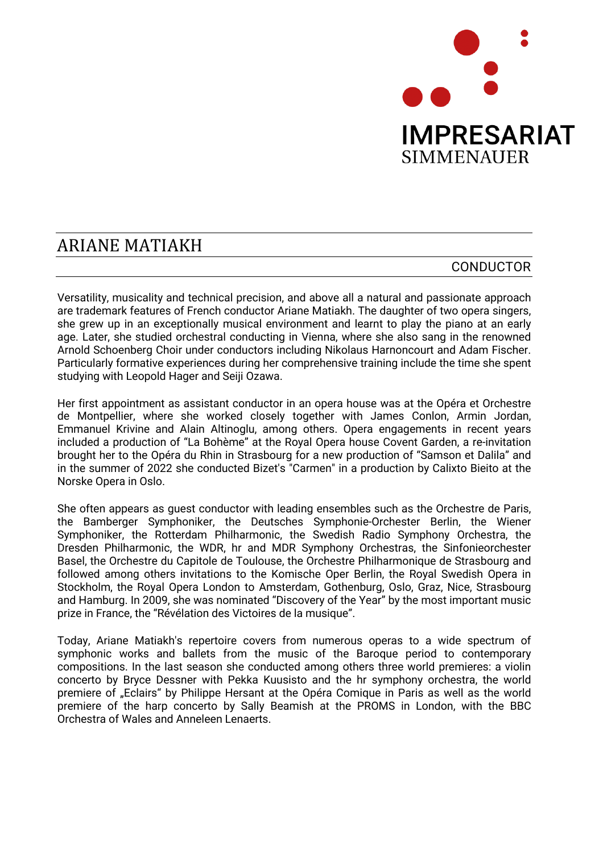

## **ARIANE MATIAKH**

## CONDUCTOR

Versatility, musicality and technical precision, and above all a natural and passionate approach are trademark features of French conductor Ariane Matiakh. The daughter of two opera singers, she grew up in an exceptionally musical environment and learnt to play the piano at an early age. Later, she studied orchestral conducting in Vienna, where she also sang in the renowned Arnold Schoenberg Choir under conductors including Nikolaus Harnoncourt and Adam Fischer. Particularly formative experiences during her comprehensive training include the time she spent studying with Leopold Hager and Seiji Ozawa.

Her first appointment as assistant conductor in an opera house was at the Opéra et Orchestre de Montpellier, where she worked closely together with James Conlon, Armin Jordan, Emmanuel Krivine and Alain Altinoglu, among others. Opera engagements in recent years included a production of "La Bohème" at the Royal Opera house Covent Garden, a re-invitation brought her to the Opéra du Rhin in Strasbourg for a new production of "Samson et Dalila" and in the summer of 2022 she conducted Bizet's "Carmen" in a production by Calixto Bieito at the Norske Opera in Oslo.

She often appears as guest conductor with leading ensembles such as the Orchestre de Paris, the Bamberger Symphoniker, the Deutsches Symphonie-Orchester Berlin, the Wiener Symphoniker, the Rotterdam Philharmonic, the Swedish Radio Symphony Orchestra, the Dresden Philharmonic, the WDR, hr and MDR Symphony Orchestras, the Sinfonieorchester Basel, the Orchestre du Capitole de Toulouse, the Orchestre Philharmonique de Strasbourg and followed among others invitations to the Komische Oper Berlin, the Royal Swedish Opera in Stockholm, the Royal Opera London to Amsterdam, Gothenburg, Oslo, Graz, Nice, Strasbourg and Hamburg. In 2009, she was nominated "Discovery of the Year" by the most important music prize in France, the "Révélation des Victoires de la musique".

Today, Ariane Matiakh's repertoire covers from numerous operas to a wide spectrum of symphonic works and ballets from the music of the Baroque period to contemporary compositions. In the last season she conducted among others three world premieres: a violin concerto by Bryce Dessner with Pekka Kuusisto and the hr symphony orchestra, the world premiere of "Eclairs" by Philippe Hersant at the Opéra Comique in Paris as well as the world premiere of the harp concerto by Sally Beamish at the PROMS in London, with the BBC Orchestra of Wales and Anneleen Lenaerts.